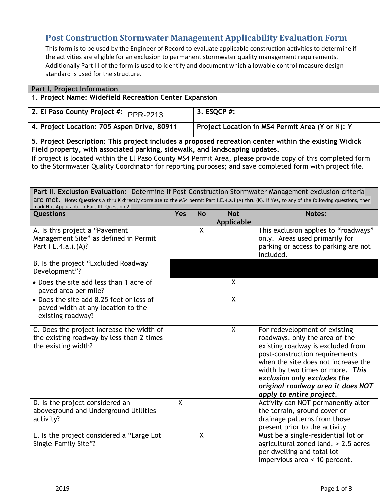## **Post Construction Stormwater Management Applicability Evaluation Form**

This form is to be used by the Engineer of Record to evaluate applicable construction activities to determine if the activities are eligible for an exclusion to permanent stormwater quality management requirements. Additionally Part III of the form is used to identify and document which allowable control measure design standard is used for the structure.

| <b>Part I. Project Information</b>                                                                                                                                                                                      |                                                 |  |  |
|-------------------------------------------------------------------------------------------------------------------------------------------------------------------------------------------------------------------------|-------------------------------------------------|--|--|
| 1. Project Name: Widefield Recreation Center Expansion                                                                                                                                                                  |                                                 |  |  |
| 2. El Paso County Project #: PPR-2213                                                                                                                                                                                   | 3. ESQCP #:                                     |  |  |
| 4. Project Location: 705 Aspen Drive, 80911                                                                                                                                                                             | Project Location in MS4 Permit Area (Y or N): Y |  |  |
| 5. Project Description: This project includes a proposed recreation center within the existing Widick                                                                                                                   |                                                 |  |  |
| Field property, with associated parking, sidewalk, and landscaping updates.                                                                                                                                             |                                                 |  |  |
| If project is located within the El Paso County MS4 Permit Area, please provide copy of this completed form<br>to the Stormwater Quality Coordinator for reporting purposes; and save completed form with project file. |                                                 |  |  |

| Part II. Exclusion Evaluation: Determine if Post-Construction Stormwater Management exclusion criteria                                              |            |           |                          |                                                                                                                                                                                                                                                                                                                   |  |  |
|-----------------------------------------------------------------------------------------------------------------------------------------------------|------------|-----------|--------------------------|-------------------------------------------------------------------------------------------------------------------------------------------------------------------------------------------------------------------------------------------------------------------------------------------------------------------|--|--|
| are met. Note: Questions A thru K directly correlate to the MS4 permit Part I.E.4.a.i (A) thru (K). If Yes, to any of the following questions, then |            |           |                          |                                                                                                                                                                                                                                                                                                                   |  |  |
| mark Not Applicable in Part III, Question 2.<br><b>Questions</b>                                                                                    | <b>Yes</b> | <b>No</b> | <b>Not</b><br>Applicable | Notes:                                                                                                                                                                                                                                                                                                            |  |  |
| A. Is this project a "Pavement<br>Management Site" as defined in Permit<br>Part   E.4.a.i.(A)?                                                      |            | X         |                          | This exclusion applies to "roadways"<br>only. Areas used primarily for<br>parking or access to parking are not<br>included.                                                                                                                                                                                       |  |  |
| B. Is the project "Excluded Roadway<br>Development"?                                                                                                |            |           |                          |                                                                                                                                                                                                                                                                                                                   |  |  |
| • Does the site add less than 1 acre of<br>paved area per mile?                                                                                     |            |           | X                        |                                                                                                                                                                                                                                                                                                                   |  |  |
| • Does the site add 8.25 feet or less of<br>paved width at any location to the<br>existing roadway?                                                 |            |           | $\mathsf{X}$             |                                                                                                                                                                                                                                                                                                                   |  |  |
| C. Does the project increase the width of<br>the existing roadway by less than 2 times<br>the existing width?                                       |            |           | $\mathsf{X}$             | For redevelopment of existing<br>roadways, only the area of the<br>existing roadway is excluded from<br>post-construction requirements<br>when the site does not increase the<br>width by two times or more. This<br>exclusion only excludes the<br>original roadway area it does NOT<br>apply to entire project. |  |  |
| D. Is the project considered an<br>aboveground and Underground Utilities<br>activity?                                                               | X          |           |                          | Activity can NOT permanently alter<br>the terrain, ground cover or<br>drainage patterns from those<br>present prior to the activity                                                                                                                                                                               |  |  |
| E. Is the project considered a "Large Lot<br>Single-Family Site"?                                                                                   |            | $\sf X$   |                          | Must be a single-residential lot or<br>agricultural zoned land, $> 2.5$ acres<br>per dwelling and total lot<br>impervious area < 10 percent.                                                                                                                                                                      |  |  |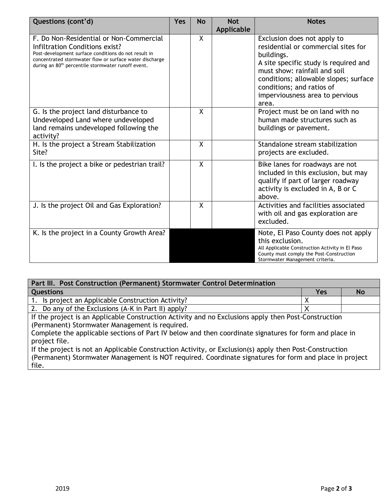| Questions (cont'd)                                                                                                                                                                                                                                             | <b>Yes</b> | <b>No</b>    | <b>Not</b><br>Applicable | <b>Notes</b>                                                                                                                                                                                                                                                                |
|----------------------------------------------------------------------------------------------------------------------------------------------------------------------------------------------------------------------------------------------------------------|------------|--------------|--------------------------|-----------------------------------------------------------------------------------------------------------------------------------------------------------------------------------------------------------------------------------------------------------------------------|
| F. Do Non-Residential or Non-Commercial<br>Infiltration Conditions exist?<br>Post-development surface conditions do not result in<br>concentrated stormwater flow or surface water discharge<br>during an 80 <sup>th</sup> percentile stormwater runoff event. |            | $\mathsf{X}$ |                          | Exclusion does not apply to<br>residential or commercial sites for<br>buildings.<br>A site specific study is required and<br>must show: rainfall and soil<br>conditions; allowable slopes; surface<br>conditions; and ratios of<br>imperviousness area to pervious<br>area. |
| G. Is the project land disturbance to<br>Undeveloped Land where undeveloped<br>land remains undeveloped following the<br>activity?                                                                                                                             |            | X            |                          | Project must be on land with no<br>human made structures such as<br>buildings or pavement.                                                                                                                                                                                  |
| H. Is the project a Stream Stabilization<br>Site?                                                                                                                                                                                                              |            | X            |                          | Standalone stream stabilization<br>projects are excluded.                                                                                                                                                                                                                   |
| I. Is the project a bike or pedestrian trail?                                                                                                                                                                                                                  |            | $\mathsf{X}$ |                          | Bike lanes for roadways are not<br>included in this exclusion, but may<br>qualify if part of larger roadway<br>activity is excluded in A, B or C<br>above.                                                                                                                  |
| J. Is the project Oil and Gas Exploration?                                                                                                                                                                                                                     |            | X            |                          | Activities and facilities associated<br>with oil and gas exploration are<br>excluded.                                                                                                                                                                                       |
| K. Is the project in a County Growth Area?                                                                                                                                                                                                                     |            |              |                          | Note, El Paso County does not apply<br>this exclusion.<br>All Applicable Construction Activity in El Paso<br>County must comply the Post-Construction<br>Stormwater Management criteria.                                                                                    |

| Part III. Post Construction (Permanent) Stormwater Control Determination                               |     |           |  |  |
|--------------------------------------------------------------------------------------------------------|-----|-----------|--|--|
| <b>Questions</b>                                                                                       | Yes | <b>No</b> |  |  |
| 1. Is project an Applicable Construction Activity?                                                     |     |           |  |  |
| 2. Do any of the Exclusions (A-K in Part II) apply?                                                    |     |           |  |  |
| If the project is an Applicable Construction Activity and no Exclusions apply then Post-Construction   |     |           |  |  |
| (Permanent) Stormwater Management is required.                                                         |     |           |  |  |
| Complete the applicable sections of Part IV below and then coordinate signatures for form and place in |     |           |  |  |

project file. If the project is not an Applicable Construction Activity, or Exclusion(s) apply then Post-Construction (Permanent) Stormwater Management is NOT required. Coordinate signatures for form and place in project

file.